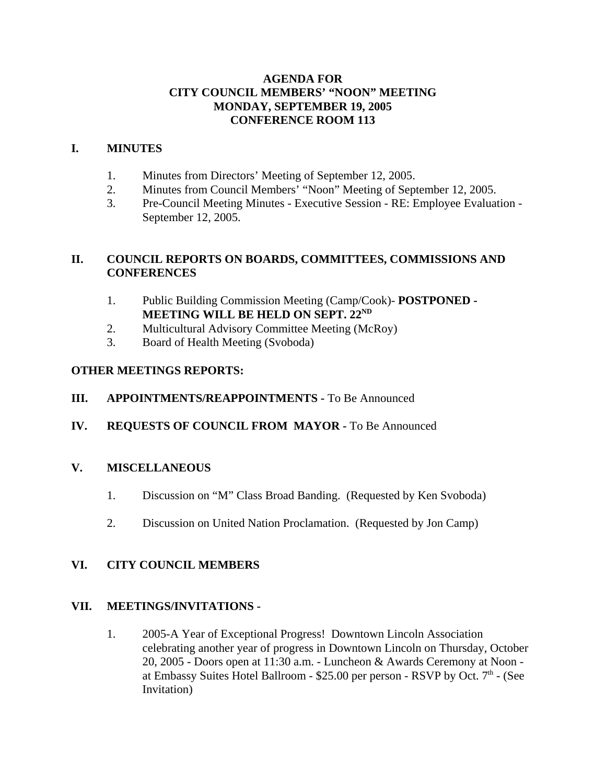## **AGENDA FOR CITY COUNCIL MEMBERS' "NOON" MEETING MONDAY, SEPTEMBER 19, 2005 CONFERENCE ROOM 113**

## **I. MINUTES**

- 1. Minutes from Directors' Meeting of September 12, 2005.
- 2. Minutes from Council Members' "Noon" Meeting of September 12, 2005.
- 3. Pre-Council Meeting Minutes Executive Session RE: Employee Evaluation September 12, 2005.

## **II. COUNCIL REPORTS ON BOARDS, COMMITTEES, COMMISSIONS AND CONFERENCES**

- 1. Public Building Commission Meeting (Camp/Cook)- **POSTPONED - MEETING WILL BE HELD ON SEPT. 22ND**
- 2. Multicultural Advisory Committee Meeting (McRoy)
- 3. Board of Health Meeting (Svoboda)

# **OTHER MEETINGS REPORTS:**

- **III.** APPOINTMENTS/REAPPOINTMENTS To Be Announced
- **IV. REQUESTS OF COUNCIL FROM MAYOR -** To Be Announced

# **V. MISCELLANEOUS**

- 1. Discussion on "M" Class Broad Banding. (Requested by Ken Svoboda)
- 2. Discussion on United Nation Proclamation. (Requested by Jon Camp)

# **VI. CITY COUNCIL MEMBERS**

## **VII. MEETINGS/INVITATIONS -**

1. 2005-A Year of Exceptional Progress! Downtown Lincoln Association celebrating another year of progress in Downtown Lincoln on Thursday, October 20, 2005 - Doors open at 11:30 a.m. - Luncheon & Awards Ceremony at Noon at Embassy Suites Hotel Ballroom -  $$25.00$  per person - RSVP by Oct.  $7<sup>th</sup>$  - (See Invitation)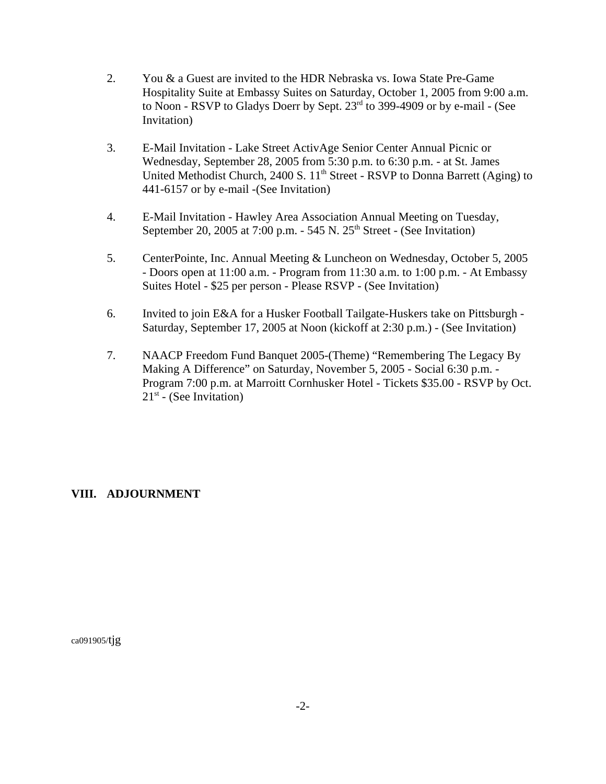- 2. You & a Guest are invited to the HDR Nebraska vs. Iowa State Pre-Game Hospitality Suite at Embassy Suites on Saturday, October 1, 2005 from 9:00 a.m. to Noon - RSVP to Gladys Doerr by Sept. 23rd to 399-4909 or by e-mail - (See Invitation)
- 3. E-Mail Invitation Lake Street ActivAge Senior Center Annual Picnic or Wednesday, September 28, 2005 from 5:30 p.m. to 6:30 p.m. - at St. James United Methodist Church, 2400 S.  $11<sup>th</sup>$  Street - RSVP to Donna Barrett (Aging) to 441-6157 or by e-mail -(See Invitation)
- 4. E-Mail Invitation Hawley Area Association Annual Meeting on Tuesday, September 20, 2005 at 7:00 p.m.  $-$  545 N. 25<sup>th</sup> Street - (See Invitation)
- 5. CenterPointe, Inc. Annual Meeting & Luncheon on Wednesday, October 5, 2005 - Doors open at 11:00 a.m. - Program from 11:30 a.m. to 1:00 p.m. - At Embassy Suites Hotel - \$25 per person - Please RSVP - (See Invitation)
- 6. Invited to join E&A for a Husker Football Tailgate-Huskers take on Pittsburgh Saturday, September 17, 2005 at Noon (kickoff at 2:30 p.m.) - (See Invitation)
- 7. NAACP Freedom Fund Banquet 2005-(Theme) "Remembering The Legacy By Making A Difference" on Saturday, November 5, 2005 - Social 6:30 p.m. - Program 7:00 p.m. at Marroitt Cornhusker Hotel - Tickets \$35.00 - RSVP by Oct.  $21<sup>st</sup>$  - (See Invitation)

## **VIII. ADJOURNMENT**

ca091905/tjg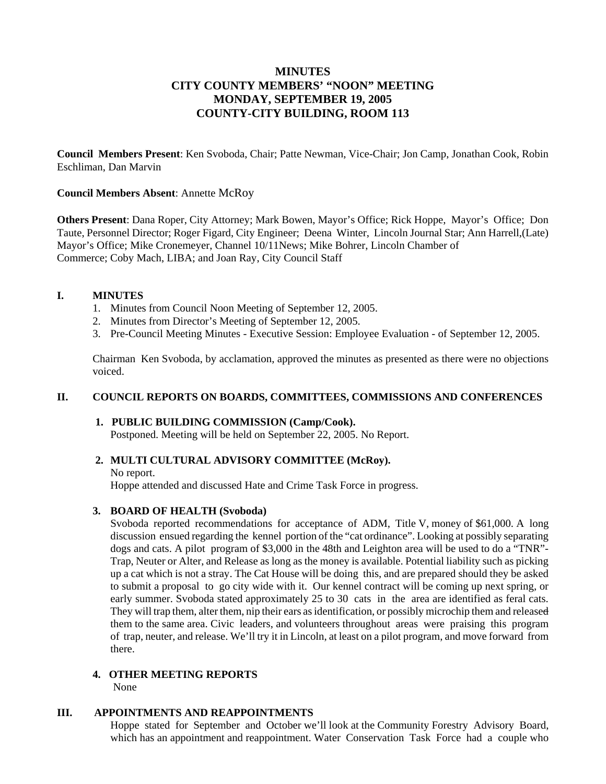## **MINUTES CITY COUNTY MEMBERS' "NOON" MEETING MONDAY, SEPTEMBER 19, 2005 COUNTY-CITY BUILDING, ROOM 113**

**Council Members Present**: Ken Svoboda, Chair; Patte Newman, Vice-Chair; Jon Camp, Jonathan Cook, Robin Eschliman, Dan Marvin

#### **Council Members Absent**: Annette McRoy

**Others Present**: Dana Roper, City Attorney; Mark Bowen, Mayor's Office; Rick Hoppe, Mayor's Office; Don Taute, Personnel Director; Roger Figard, City Engineer; Deena Winter, Lincoln Journal Star; Ann Harrell,(Late) Mayor's Office; Mike Cronemeyer, Channel 10/11News; Mike Bohrer, Lincoln Chamber of Commerce; Coby Mach, LIBA; and Joan Ray, City Council Staff

#### **I. MINUTES**

- 1. Minutes from Council Noon Meeting of September 12, 2005.
- 2. Minutes from Director's Meeting of September 12, 2005.
- 3. Pre-Council Meeting Minutes Executive Session: Employee Evaluation of September 12, 2005.

 Chairman Ken Svoboda, by acclamation, approved the minutes as presented as there were no objections voiced.

## **II. COUNCIL REPORTS ON BOARDS, COMMITTEES, COMMISSIONS AND CONFERENCES**

## **1. PUBLIC BUILDING COMMISSION (Camp/Cook).**

Postponed. Meeting will be held on September 22, 2005. No Report.

## **2. MULTI CULTURAL ADVISORY COMMITTEE (McRoy).**

No report.

Hoppe attended and discussed Hate and Crime Task Force in progress.

#### **3. BOARD OF HEALTH (Svoboda)**

 Svoboda reported recommendations for acceptance of ADM, Title V, money of \$61,000. A long discussion ensued regarding the kennel portion of the "cat ordinance". Looking at possibly separating dogs and cats. A pilot program of \$3,000 in the 48th and Leighton area will be used to do a "TNR"- Trap, Neuter or Alter, and Release as long as the money is available. Potential liability such as picking up a cat which is not a stray. The Cat House will be doing this, and are prepared should they be asked to submit a proposal to go city wide with it. Our kennel contract will be coming up next spring, or early summer. Svoboda stated approximately 25 to 30 cats in the area are identified as feral cats. They will trap them, alter them, nip their ears as identification, or possibly microchip them and released them to the same area. Civic leaders, and volunteers throughout areas were praising this program of trap, neuter, and release. We'll try it in Lincoln, at least on a pilot program, and move forward from there.

#### **4. OTHER MEETING REPORTS** None

## **III. APPOINTMENTS AND REAPPOINTMENTS**

 Hoppe stated for September and October we'll look at the Community Forestry Advisory Board, which has an appointment and reappointment. Water Conservation Task Force had a couple who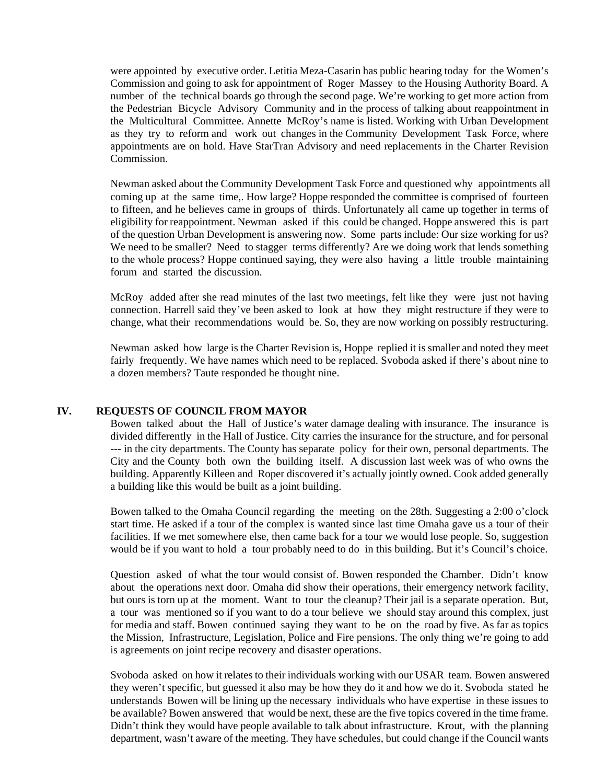were appointed by executive order. Letitia Meza-Casarin has public hearing today for the Women's Commission and going to ask for appointment of Roger Massey to the Housing Authority Board. A number of the technical boards go through the second page. We're working to get more action from the Pedestrian Bicycle Advisory Community and in the process of talking about reappointment in the Multicultural Committee. Annette McRoy's name is listed. Working with Urban Development as they try to reform and work out changes in the Community Development Task Force, where appointments are on hold. Have StarTran Advisory and need replacements in the Charter Revision Commission.

 Newman asked about the Community Development Task Force and questioned why appointments all coming up at the same time,. How large? Hoppe responded the committee is comprised of fourteen to fifteen, and he believes came in groups of thirds. Unfortunately all came up together in terms of eligibility for reappointment. Newman asked if this could be changed. Hoppe answered this is part of the question Urban Development is answering now. Some parts include: Our size working for us? We need to be smaller? Need to stagger terms differently? Are we doing work that lends something to the whole process? Hoppe continued saying, they were also having a little trouble maintaining forum and started the discussion.

McRoy added after she read minutes of the last two meetings, felt like they were just not having connection. Harrell said they've been asked to look at how they might restructure if they were to change, what their recommendations would be. So, they are now working on possibly restructuring.

Newman asked how large is the Charter Revision is, Hoppe replied it is smaller and noted they meet fairly frequently. We have names which need to be replaced. Svoboda asked if there's about nine to a dozen members? Taute responded he thought nine.

#### **IV. REQUESTS OF COUNCIL FROM MAYOR**

 Bowen talked about the Hall of Justice's water damage dealing with insurance. The insurance is divided differently in the Hall of Justice. City carries the insurance for the structure, and for personal --- in the city departments. The County has separate policy for their own, personal departments. The City and the County both own the building itself. A discussion last week was of who owns the building. Apparently Killeen and Roper discovered it's actually jointly owned. Cook added generally a building like this would be built as a joint building.

 Bowen talked to the Omaha Council regarding the meeting on the 28th. Suggesting a 2:00 o'clock start time. He asked if a tour of the complex is wanted since last time Omaha gave us a tour of their facilities. If we met somewhere else, then came back for a tour we would lose people. So, suggestion would be if you want to hold a tour probably need to do in this building. But it's Council's choice.

 Question asked of what the tour would consist of. Bowen responded the Chamber. Didn't know about the operations next door. Omaha did show their operations, their emergency network facility, but ours is torn up at the moment. Want to tour the cleanup? Their jail is a separate operation. But, a tour was mentioned so if you want to do a tour believe we should stay around this complex, just for media and staff. Bowen continued saying they want to be on the road by five. As far as topics the Mission, Infrastructure, Legislation, Police and Fire pensions. The only thing we're going to add is agreements on joint recipe recovery and disaster operations.

 Svoboda asked on how it relates to their individuals working with our USAR team. Bowen answered they weren't specific, but guessed it also may be how they do it and how we do it. Svoboda stated he understands Bowen will be lining up the necessary individuals who have expertise in these issues to be available? Bowen answered that would be next, these are the five topics covered in the time frame. Didn't think they would have people available to talk about infrastructure. Krout, with the planning department, wasn't aware of the meeting. They have schedules, but could change if the Council wants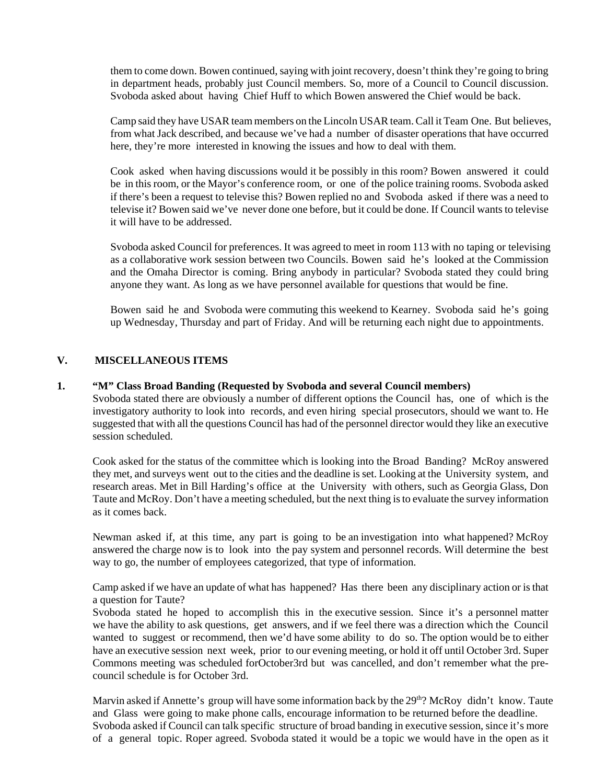them to come down. Bowen continued, saying with joint recovery, doesn't think they're going to bring in department heads, probably just Council members. So, more of a Council to Council discussion. Svoboda asked about having Chief Huff to which Bowen answered the Chief would be back.

 Camp said they have USAR team members on the Lincoln USAR team. Call it Team One. But believes, from what Jack described, and because we've had a number of disaster operations that have occurred here, they're more interested in knowing the issues and how to deal with them.

 Cook asked when having discussions would it be possibly in this room? Bowen answered it could be in this room, or the Mayor's conference room, or one of the police training rooms. Svoboda asked if there's been a request to televise this? Bowen replied no and Svoboda asked if there was a need to televise it? Bowen said we've never done one before, but it could be done. If Council wants to televise it will have to be addressed.

 Svoboda asked Council for preferences. It was agreed to meet in room 113 with no taping or televising as a collaborative work session between two Councils. Bowen said he's looked at the Commission and the Omaha Director is coming. Bring anybody in particular? Svoboda stated they could bring anyone they want. As long as we have personnel available for questions that would be fine.

Bowen said he and Svoboda were commuting this weekend to Kearney. Svoboda said he's going up Wednesday, Thursday and part of Friday. And will be returning each night due to appointments.

## **V. MISCELLANEOUS ITEMS**

## **1. "M" Class Broad Banding (Requested by Svoboda and several Council members)**

Svoboda stated there are obviously a number of different options the Council has, one of which is the investigatory authority to look into records, and even hiring special prosecutors, should we want to. He suggested that with all the questions Council has had of the personnel director would they like an executive session scheduled.

 Cook asked for the status of the committee which is looking into the Broad Banding? McRoy answered they met, and surveys went out to the cities and the deadline is set. Looking at the University system, and research areas. Met in Bill Harding's office at the University with others, such as Georgia Glass, Don Taute and McRoy. Don't have a meeting scheduled, but the next thing is to evaluate the survey information as it comes back.

Newman asked if, at this time, any part is going to be an investigation into what happened? McRoy answered the charge now is to look into the pay system and personnel records. Will determine the best way to go, the number of employees categorized, that type of information.

Camp asked if we have an update of what has happened? Has there been any disciplinary action or is that a question for Taute?

 Svoboda stated he hoped to accomplish this in the executive session. Since it's a personnel matter we have the ability to ask questions, get answers, and if we feel there was a direction which the Council wanted to suggest or recommend, then we'd have some ability to do so. The option would be to either have an executive session next week, prior to our evening meeting, or hold it off until October 3rd. Super Commons meeting was scheduled forOctober3rd but was cancelled, and don't remember what the precouncil schedule is for October 3rd.

Marvin asked if Annette's group will have some information back by the 29<sup>th</sup>? McRoy didn't know. Taute and Glass were going to make phone calls, encourage information to be returned before the deadline. Svoboda asked if Council can talk specific structure of broad banding in executive session, since it's more of a general topic. Roper agreed. Svoboda stated it would be a topic we would have in the open as it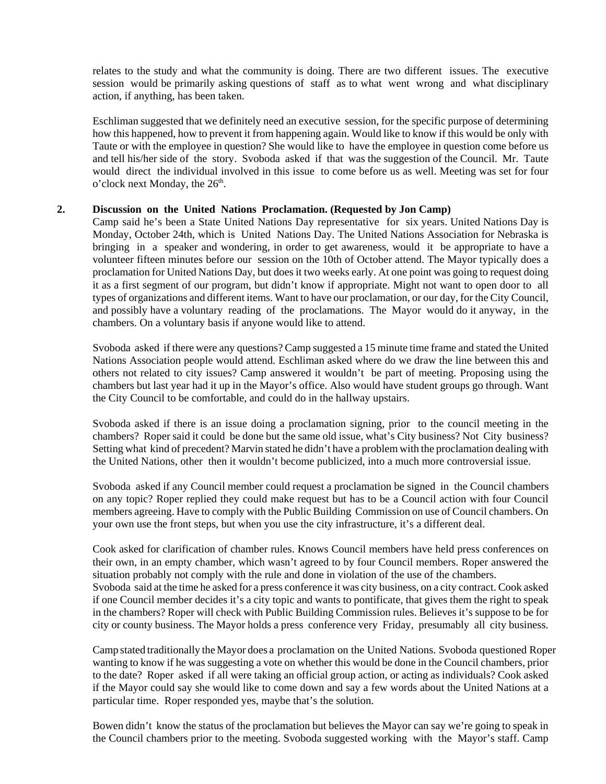relates to the study and what the community is doing. There are two different issues. The executive session would be primarily asking questions of staff as to what went wrong and what disciplinary action, if anything, has been taken.

Eschliman suggested that we definitely need an executive session, for the specific purpose of determining how this happened, how to prevent it from happening again. Would like to know if this would be only with Taute or with the employee in question? She would like to have the employee in question come before us and tell his/her side of the story. Svoboda asked if that was the suggestion of the Council. Mr. Taute would direct the individual involved in this issue to come before us as well. Meeting was set for four  $\sigma$ 'clock next Monday, the 26<sup>th</sup>.

## **2. Discussion on the United Nations Proclamation. (Requested by Jon Camp)**

 Camp said he's been a State United Nations Day representative for six years. United Nations Day is Monday, October 24th, which is United Nations Day. The United Nations Association for Nebraska is bringing in a speaker and wondering, in order to get awareness, would it be appropriate to have a volunteer fifteen minutes before our session on the 10th of October attend. The Mayor typically does a proclamation for United Nations Day, but does it two weeks early. At one point was going to request doing it as a first segment of our program, but didn't know if appropriate. Might not want to open door to all types of organizations and different items. Want to have our proclamation, or our day, for the City Council, and possibly have a voluntary reading of the proclamations. The Mayor would do it anyway, in the chambers. On a voluntary basis if anyone would like to attend.

Svoboda asked if there were any questions? Camp suggested a 15 minute time frame and stated the United Nations Association people would attend. Eschliman asked where do we draw the line between this and others not related to city issues? Camp answered it wouldn't be part of meeting. Proposing using the chambers but last year had it up in the Mayor's office. Also would have student groups go through. Want the City Council to be comfortable, and could do in the hallway upstairs.

Svoboda asked if there is an issue doing a proclamation signing, prior to the council meeting in the chambers? Roper said it could be done but the same old issue, what's City business? Not City business? Setting what kind of precedent? Marvin stated he didn't have a problem with the proclamation dealing with the United Nations, other then it wouldn't become publicized, into a much more controversial issue.

 Svoboda asked if any Council member could request a proclamation be signed in the Council chambers on any topic? Roper replied they could make request but has to be a Council action with four Council members agreeing. Have to comply with the Public Building Commission on use of Council chambers. On your own use the front steps, but when you use the city infrastructure, it's a different deal.

Cook asked for clarification of chamber rules. Knows Council members have held press conferences on their own, in an empty chamber, which wasn't agreed to by four Council members. Roper answered the situation probably not comply with the rule and done in violation of the use of the chambers. Svoboda said at the time he asked for a press conference it was city business, on a city contract. Cook asked if one Council member decides it's a city topic and wants to pontificate, that gives them the right to speak in the chambers? Roper will check with Public Building Commission rules. Believes it's suppose to be for city or county business. The Mayor holds a press conference very Friday, presumably all city business.

 Camp stated traditionally the Mayor does a proclamation on the United Nations. Svoboda questioned Roper wanting to know if he was suggesting a vote on whether this would be done in the Council chambers, prior to the date? Roper asked if all were taking an official group action, or acting as individuals? Cook asked if the Mayor could say she would like to come down and say a few words about the United Nations at a particular time. Roper responded yes, maybe that's the solution.

Bowen didn't know the status of the proclamation but believes the Mayor can say we're going to speak in the Council chambers prior to the meeting. Svoboda suggested working with the Mayor's staff. Camp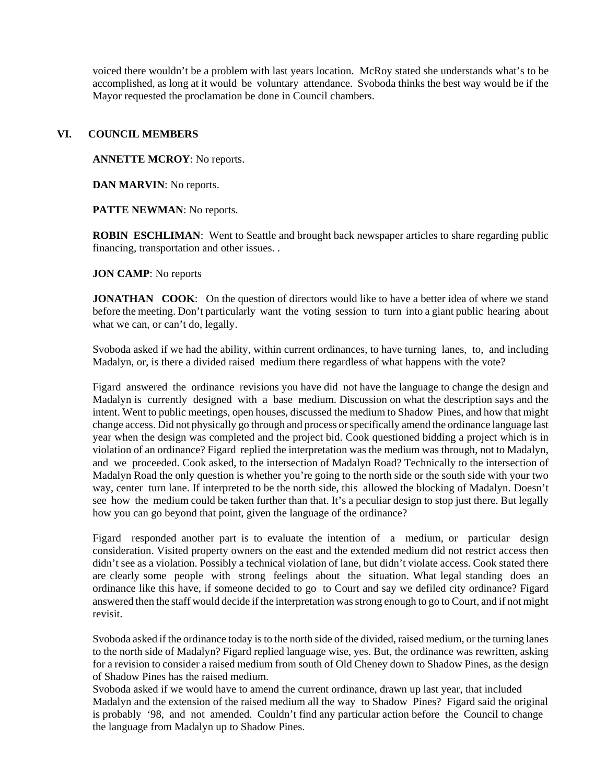voiced there wouldn't be a problem with last years location. McRoy stated she understands what's to be accomplished, as long at it would be voluntary attendance. Svoboda thinks the best way would be if the Mayor requested the proclamation be done in Council chambers.

### **VI. COUNCIL MEMBERS**

**ANNETTE MCROY**: No reports.

**DAN MARVIN**: No reports.

 **PATTE NEWMAN**: No reports.

**ROBIN ESCHLIMAN:** Went to Seattle and brought back newspaper articles to share regarding public financing, transportation and other issues. .

#### **JON CAMP**: No reports

**JONATHAN** COOK: On the question of directors would like to have a better idea of where we stand before the meeting. Don't particularly want the voting session to turn into a giant public hearing about what we can, or can't do, legally.

Svoboda asked if we had the ability, within current ordinances, to have turning lanes, to, and including Madalyn, or, is there a divided raised medium there regardless of what happens with the vote?

Figard answered the ordinance revisions you have did not have the language to change the design and Madalyn is currently designed with a base medium. Discussion on what the description says and the intent. Went to public meetings, open houses, discussed the medium to Shadow Pines, and how that might change access. Did not physically go through and process or specifically amend the ordinance language last year when the design was completed and the project bid. Cook questioned bidding a project which is in violation of an ordinance? Figard replied the interpretation was the medium was through, not to Madalyn, and we proceeded. Cook asked, to the intersection of Madalyn Road? Technically to the intersection of Madalyn Road the only question is whether you're going to the north side or the south side with your two way, center turn lane. If interpreted to be the north side, this allowed the blocking of Madalyn. Doesn't see how the medium could be taken further than that. It's a peculiar design to stop just there. But legally how you can go beyond that point, given the language of the ordinance?

Figard responded another part is to evaluate the intention of a medium, or particular design consideration. Visited property owners on the east and the extended medium did not restrict access then didn't see as a violation. Possibly a technical violation of lane, but didn't violate access. Cook stated there are clearly some people with strong feelings about the situation. What legal standing does an ordinance like this have, if someone decided to go to Court and say we defiled city ordinance? Figard answered then the staff would decide if the interpretation was strong enough to go to Court, and if not might revisit.

Svoboda asked if the ordinance today is to the north side of the divided, raised medium, or the turning lanes to the north side of Madalyn? Figard replied language wise, yes. But, the ordinance was rewritten, asking for a revision to consider a raised medium from south of Old Cheney down to Shadow Pines, as the design of Shadow Pines has the raised medium.

 Svoboda asked if we would have to amend the current ordinance, drawn up last year, that included Madalyn and the extension of the raised medium all the way to Shadow Pines? Figard said the original is probably '98, and not amended. Couldn't find any particular action before the Council to change the language from Madalyn up to Shadow Pines.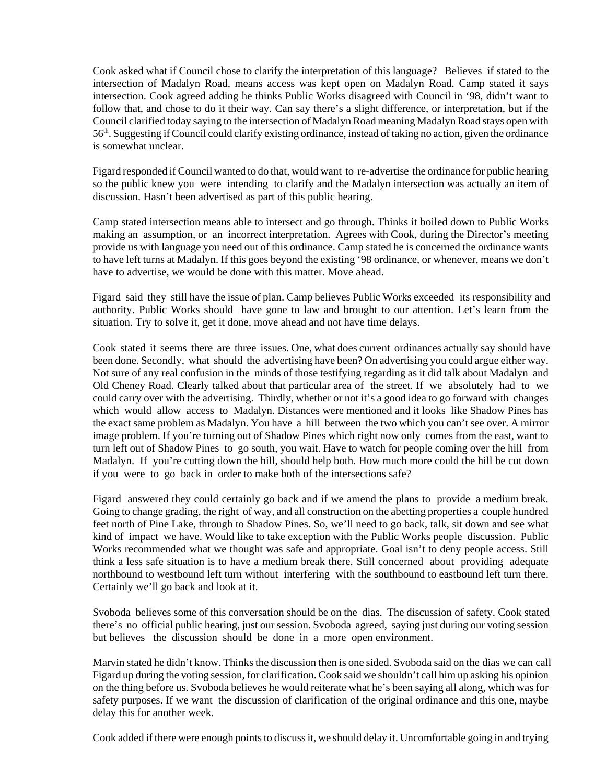Cook asked what if Council chose to clarify the interpretation of this language? Believes if stated to the intersection of Madalyn Road, means access was kept open on Madalyn Road. Camp stated it says intersection. Cook agreed adding he thinks Public Works disagreed with Council in '98, didn't want to follow that, and chose to do it their way. Can say there's a slight difference, or interpretation, but if the Council clarified today saying to the intersection of Madalyn Road meaning Madalyn Road stays open with 56th. Suggesting if Council could clarify existing ordinance, instead of taking no action, given the ordinance is somewhat unclear.

Figard responded if Council wanted to do that, would want to re-advertise the ordinance for public hearing so the public knew you were intending to clarify and the Madalyn intersection was actually an item of discussion. Hasn't been advertised as part of this public hearing.

Camp stated intersection means able to intersect and go through. Thinks it boiled down to Public Works making an assumption, or an incorrect interpretation. Agrees with Cook, during the Director's meeting provide us with language you need out of this ordinance. Camp stated he is concerned the ordinance wants to have left turns at Madalyn. If this goes beyond the existing '98 ordinance, or whenever, means we don't have to advertise, we would be done with this matter. Move ahead.

 Figard said they still have the issue of plan. Camp believes Public Works exceeded its responsibility and authority. Public Works should have gone to law and brought to our attention. Let's learn from the situation. Try to solve it, get it done, move ahead and not have time delays.

 Cook stated it seems there are three issues. One, what does current ordinances actually say should have been done. Secondly, what should the advertising have been? On advertising you could argue either way. Not sure of any real confusion in the minds of those testifying regarding as it did talk about Madalyn and Old Cheney Road. Clearly talked about that particular area of the street. If we absolutely had to we could carry over with the advertising. Thirdly, whether or not it's a good idea to go forward with changes which would allow access to Madalyn. Distances were mentioned and it looks like Shadow Pines has the exact same problem as Madalyn. You have a hill between the two which you can't see over. A mirror image problem. If you're turning out of Shadow Pines which right now only comes from the east, want to turn left out of Shadow Pines to go south, you wait. Have to watch for people coming over the hill from Madalyn. If you're cutting down the hill, should help both. How much more could the hill be cut down if you were to go back in order to make both of the intersections safe?

 Figard answered they could certainly go back and if we amend the plans to provide a medium break. Going to change grading, the right of way, and all construction on the abetting properties a couple hundred feet north of Pine Lake, through to Shadow Pines. So, we'll need to go back, talk, sit down and see what kind of impact we have. Would like to take exception with the Public Works people discussion. Public Works recommended what we thought was safe and appropriate. Goal isn't to deny people access. Still think a less safe situation is to have a medium break there. Still concerned about providing adequate northbound to westbound left turn without interfering with the southbound to eastbound left turn there. Certainly we'll go back and look at it.

 Svoboda believes some of this conversation should be on the dias. The discussion of safety. Cook stated there's no official public hearing, just our session. Svoboda agreed, saying just during our voting session but believes the discussion should be done in a more open environment.

 Marvin stated he didn't know. Thinks the discussion then is one sided. Svoboda said on the dias we can call Figard up during the voting session, for clarification. Cook said we shouldn't call him up asking his opinion on the thing before us. Svoboda believes he would reiterate what he's been saying all along, which was for safety purposes. If we want the discussion of clarification of the original ordinance and this one, maybe delay this for another week.

Cook added if there were enough points to discuss it, we should delay it. Uncomfortable going in and trying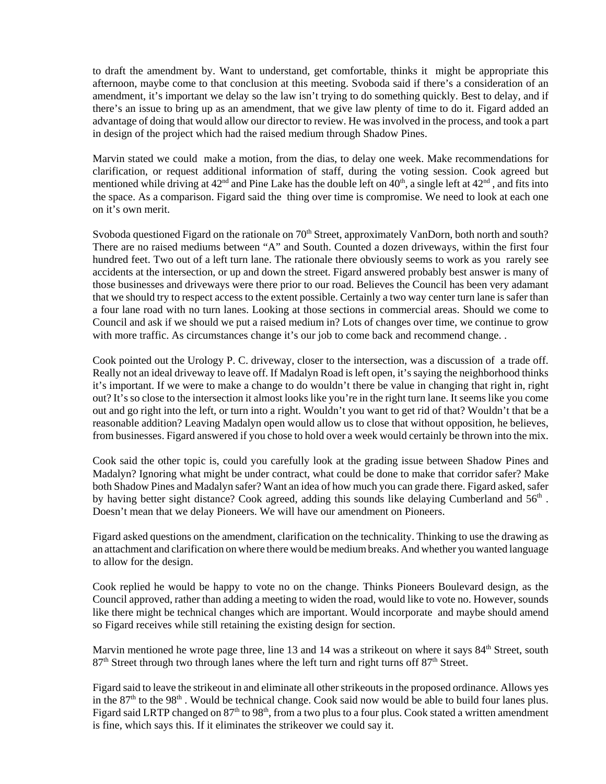to draft the amendment by. Want to understand, get comfortable, thinks it might be appropriate this afternoon, maybe come to that conclusion at this meeting. Svoboda said if there's a consideration of an amendment, it's important we delay so the law isn't trying to do something quickly. Best to delay, and if there's an issue to bring up as an amendment, that we give law plenty of time to do it. Figard added an advantage of doing that would allow our director to review. He was involved in the process, and took a part in design of the project which had the raised medium through Shadow Pines.

Marvin stated we could make a motion, from the dias, to delay one week. Make recommendations for clarification, or request additional information of staff, during the voting session. Cook agreed but mentioned while driving at  $42^{\text{nd}}$  and Pine Lake has the double left on  $40^{\text{th}}$ , a single left at  $42^{\text{nd}}$ , and fits into the space. As a comparison. Figard said the thing over time is compromise. We need to look at each one on it's own merit.

Svoboda questioned Figard on the rationale on  $70<sup>th</sup>$  Street, approximately VanDorn, both north and south? There are no raised mediums between "A" and South. Counted a dozen driveways, within the first four hundred feet. Two out of a left turn lane. The rationale there obviously seems to work as you rarely see accidents at the intersection, or up and down the street. Figard answered probably best answer is many of those businesses and driveways were there prior to our road. Believes the Council has been very adamant that we should try to respect access to the extent possible. Certainly a two way center turn lane is safer than a four lane road with no turn lanes. Looking at those sections in commercial areas. Should we come to Council and ask if we should we put a raised medium in? Lots of changes over time, we continue to grow with more traffic. As circumstances change it's our job to come back and recommend change. .

Cook pointed out the Urology P. C. driveway, closer to the intersection, was a discussion of a trade off. Really not an ideal driveway to leave off. If Madalyn Road is left open, it's saying the neighborhood thinks it's important. If we were to make a change to do wouldn't there be value in changing that right in, right out? It's so close to the intersection it almost looks like you're in the right turn lane. It seems like you come out and go right into the left, or turn into a right. Wouldn't you want to get rid of that? Wouldn't that be a reasonable addition? Leaving Madalyn open would allow us to close that without opposition, he believes, from businesses. Figard answered if you chose to hold over a week would certainly be thrown into the mix.

Cook said the other topic is, could you carefully look at the grading issue between Shadow Pines and Madalyn? Ignoring what might be under contract, what could be done to make that corridor safer? Make both Shadow Pines and Madalyn safer? Want an idea of how much you can grade there. Figard asked, safer by having better sight distance? Cook agreed, adding this sounds like delaying Cumberland and  $56<sup>th</sup>$ . Doesn't mean that we delay Pioneers. We will have our amendment on Pioneers.

Figard asked questions on the amendment, clarification on the technicality. Thinking to use the drawing as an attachment and clarification on where there would be medium breaks. And whether you wanted language to allow for the design.

Cook replied he would be happy to vote no on the change. Thinks Pioneers Boulevard design, as the Council approved, rather than adding a meeting to widen the road, would like to vote no. However, sounds like there might be technical changes which are important. Would incorporate and maybe should amend so Figard receives while still retaining the existing design for section.

Marvin mentioned he wrote page three, line 13 and 14 was a strike out on where it says  $84<sup>th</sup>$  Street, south  $87<sup>th</sup>$  Street through two through lanes where the left turn and right turns off  $87<sup>th</sup>$  Street.

Figard said to leave the strikeout in and eliminate all other strikeouts in the proposed ordinance. Allows yes in the  $87<sup>th</sup>$  to the  $98<sup>th</sup>$ . Would be technical change. Cook said now would be able to build four lanes plus. Figard said LRTP changed on  $87<sup>th</sup>$  to  $98<sup>th</sup>$ , from a two plus to a four plus. Cook stated a written amendment is fine, which says this. If it eliminates the strikeover we could say it.